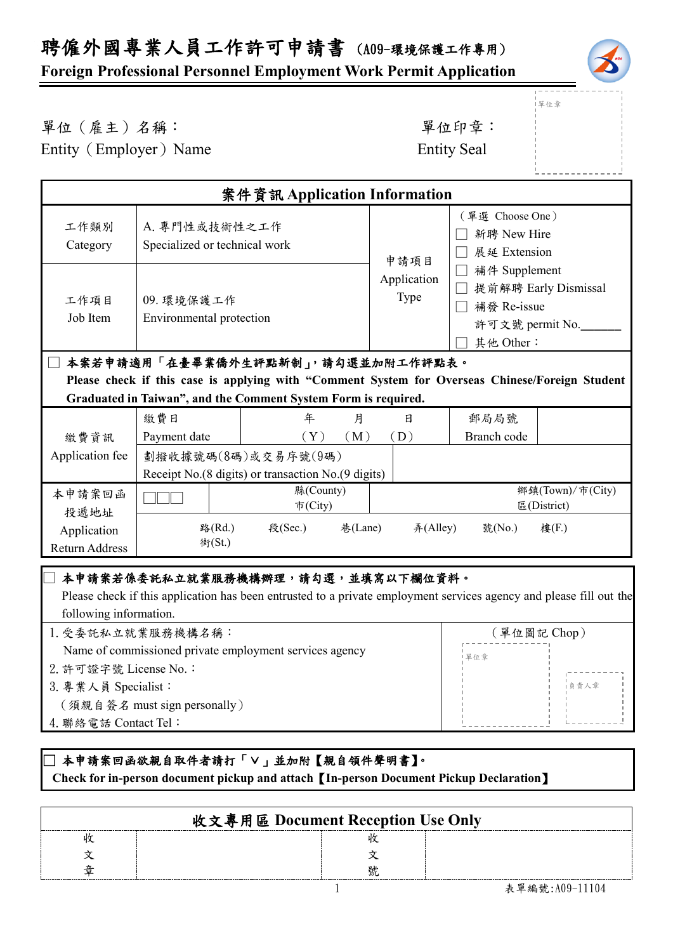# 聘僱外國專業人員工作許可申請書 (A09-環境保護工作專用)

#### **Foreign Professional Personnel Employment Work Permit Application**



單位章

# 單位(雇主)名稱: 第四章: 李位印章: 第一

Entity (Employer) Name Entity Seal

| 案件資訊 Application Information      |                                                                                                                                                                                                                                                                                                     |                      |         |                             |                                                                                                                                        |                                 |
|-----------------------------------|-----------------------------------------------------------------------------------------------------------------------------------------------------------------------------------------------------------------------------------------------------------------------------------------------------|----------------------|---------|-----------------------------|----------------------------------------------------------------------------------------------------------------------------------------|---------------------------------|
| 工作類別<br>Category                  | A. 專門性或技術性之工作<br>Specialized or technical work                                                                                                                                                                                                                                                      |                      |         | 申請項目<br>Application<br>Type | (單選 Choose One)<br>新聘 New Hire<br>展延 Extension<br>補件 Supplement<br>提前解聘 Early Dismissal<br>補發 Re-issue<br>許可文號 permit No.<br>其他 Other: |                                 |
| 工作項目<br>Job Item                  | 09. 環境保護工作<br>Environmental protection                                                                                                                                                                                                                                                              |                      |         |                             |                                                                                                                                        |                                 |
| 本案若申請適用「在臺畢業僑外生評點新制」,請勾選並加附工作評點表。 |                                                                                                                                                                                                                                                                                                     |                      |         |                             |                                                                                                                                        |                                 |
|                                   | Please check if this case is applying with "Comment System for Overseas Chinese/Foreign Student                                                                                                                                                                                                     |                      |         |                             |                                                                                                                                        |                                 |
|                                   | Graduated in Taiwan", and the Comment System Form is required.                                                                                                                                                                                                                                      |                      |         |                             |                                                                                                                                        |                                 |
|                                   | 繳費日                                                                                                                                                                                                                                                                                                 | 年                    | 月       | 日                           | 郵局局號                                                                                                                                   |                                 |
| 繳費資訊                              | Payment date                                                                                                                                                                                                                                                                                        | (Y)                  | (M)     | (D)                         | Branch code                                                                                                                            |                                 |
| Application fee                   | 劃撥收據號碼(8碼)或交易序號(9碼)<br>Receipt No.(8 digits) or transaction No.(9 digits)                                                                                                                                                                                                                           |                      |         |                             |                                                                                                                                        |                                 |
| 本申請案回函<br>投遞地址                    |                                                                                                                                                                                                                                                                                                     | 縣(County)<br>市(City) |         |                             |                                                                                                                                        | 鄉鎮(Town)/市(City)<br>區(District) |
| Application<br>Return Address     | 路(Rd.)<br>街(St.)                                                                                                                                                                                                                                                                                    | 段(Sec.)              | 巷(Lane) | #(Alley)                    | 號(No.)                                                                                                                                 | 樓(F.)                           |
|                                   | 本申請案若係委託私立就業服務機構辦理,請勾選,並填寫以下欄位資料。<br>$1 - 1$ $1 + 0$ $1 + 1$ $1 + 1$ $1 + 1$ $1 + 1$ $1 + 1$ $1 + 1$ $1 + 1$ $1 + 1$ $1 + 1$ $1 + 1$ $1 + 1$ $1 + 1$ $1 + 1$ $1 + 1$ $1 + 1$ $1 + 1$ $1 + 1$ $1 + 1$ $1 + 1$ $1 + 1$ $1 + 1$ $1 + 1$ $1 + 1$ $1 + 1$ $1 + 1$ $1 + 1$ $1 + 1$ $1 + 1$ $1 + 1$ $1 + $ |                      |         |                             |                                                                                                                                        | $1 \t1 \t211 \t11$              |

#### Please check if this application has been entrusted to a private employment services agency and please fill out the following information.

| 1. 受委託私立就業服務機構名稱:                                       | (單位圖記 Chop) |  |
|---------------------------------------------------------|-------------|--|
| Name of commissioned private employment services agency | 單位章         |  |
| 2. 許可證字號 License No.:                                   |             |  |
| 3. 專業人員 Specialist:                                     | 自青人章        |  |
| (須親自簽名 must sign personally)                            |             |  |
| 4. 聯絡電話 Contact Tel:                                    |             |  |
|                                                         |             |  |

#### □ 本申請案回函欲親自取件者請打「∨」並加附【親自領件聲明書】。  **Check for in-person document pickup and attach**【**In-person Document Pickup Declaration**】

| 收文專用區 Document Reception Use Only |  |  |  |  |
|-----------------------------------|--|--|--|--|
|                                   |  |  |  |  |
|                                   |  |  |  |  |
|                                   |  |  |  |  |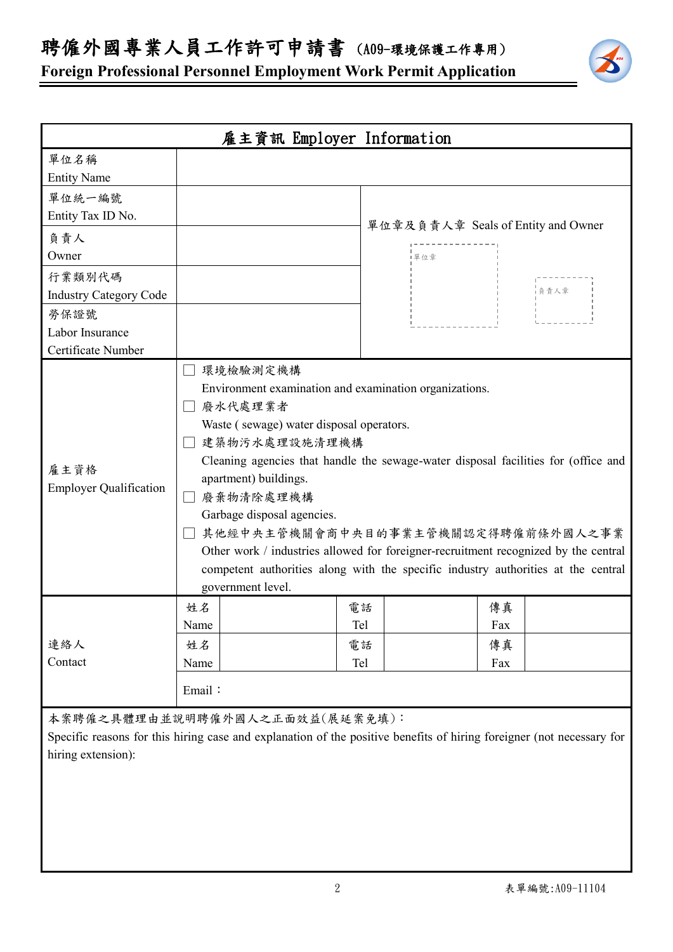聘僱外國專業人員工作許可申請書 (A09-環境保護工作專用)

**Foreign Professional Personnel Employment Work Permit Application**



本案聘僱之具體理由並說明聘僱外國人之正面效益(展延案免填):

Specific reasons for this hiring case and explanation of the positive benefits of hiring foreigner (not necessary for hiring extension):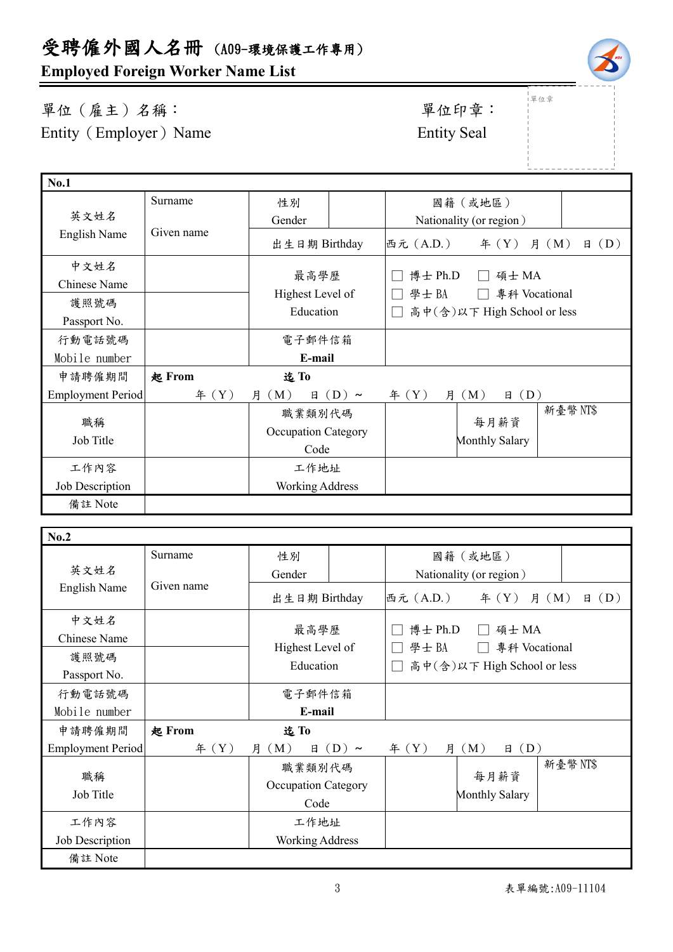# **Employed Foreign Worker Name List**

## 單位(雇主)名稱: 第四章: 李位印章: 第一 Entity (Employer) Name Entity Seal

└<br>──

| <b>No.1</b>       |               |                        |            |                |                             |                              |
|-------------------|---------------|------------------------|------------|----------------|-----------------------------|------------------------------|
|                   | Surname       | 性別                     |            |                | 國籍(或地區)                     |                              |
| 英文姓名              |               | Gender                 |            |                | Nationality (or region)     |                              |
| English Name      | Given name    | 出生日期 Birthday          |            | 西元 (A.D.)      | $\text{4}(Y)$               | (D)<br>月 (M)<br>$\mathbf{H}$ |
| 中文姓名              |               |                        |            | 博士 Ph.D        | 碩士 MA                       |                              |
| Chinese Name      |               | 最高學歷                   |            |                |                             |                              |
| 護照號碼              |               | Highest Level of       |            | 學士BA           | 專科 Vocational               |                              |
| Passport No.      |               | Education              |            |                | 高中(含)以下 High School or less |                              |
| 行動電話號碼            |               | 電子郵件信箱                 |            |                |                             |                              |
| Mobile number     |               | E-mail                 |            |                |                             |                              |
| 申請聘僱期間            | <b>起 From</b> | 迄To                    |            |                |                             |                              |
| Employment Period | # (Y)         | 月 (M)<br>日             | $(D) \sim$ | # (Y)<br>月     | (D)<br>(M)<br>日             |                              |
|                   |               | 職業類別代碼                 |            |                |                             | 新臺幣NT\$                      |
| 職稱                |               | Occupation Category    |            |                | 每月薪資                        |                              |
| Job Title         |               | Code                   |            | Monthly Salary |                             |                              |
| 工作內容              |               | 工作地址                   |            |                |                             |                              |
| Job Description   |               | <b>Working Address</b> |            |                |                             |                              |
| 備註 Note           |               |                        |            |                |                             |                              |

| No.2                     |            |                               |                                            |
|--------------------------|------------|-------------------------------|--------------------------------------------|
|                          | Surname    | 性別                            | 國籍(或地區)                                    |
| 英文姓名<br>English Name     | Given name | Gender                        | Nationality (or region)                    |
|                          |            | 出生日期 Birthday                 | (D)<br>西元 (A.D.)<br>年 $(Y)$ 月 $(M)$<br>日   |
| 中文姓名<br>Chinese Name     |            | 最高學歷                          | 博士 Ph.D<br>碩士 MA<br>學士 BA<br>專科 Vocational |
| 護照號碼<br>Passport No.     |            | Highest Level of<br>Education | 高中(含)以下 High School or less                |
| 行動電話號碼                   |            | 電子郵件信箱                        |                                            |
| Mobile number            |            | E-mail                        |                                            |
| 申請聘僱期間                   | 起 From     | 迄To                           |                                            |
| <b>Employment Period</b> | # (Y)      | (M)<br>$(D) \sim$<br>月<br>日   | (D)<br>f(X)<br>(M)<br>月<br>日               |
| 職稱                       |            | 職業類別代碼                        | 新臺幣 NT\$<br>每月薪資                           |
| Job Title                |            | Occupation Category<br>Code   | <b>Monthly Salary</b>                      |
| 工作內容                     |            | 工作地址                          |                                            |
| Job Description          |            | <b>Working Address</b>        |                                            |
| 備註 Note                  |            |                               |                                            |



|<br>|單位章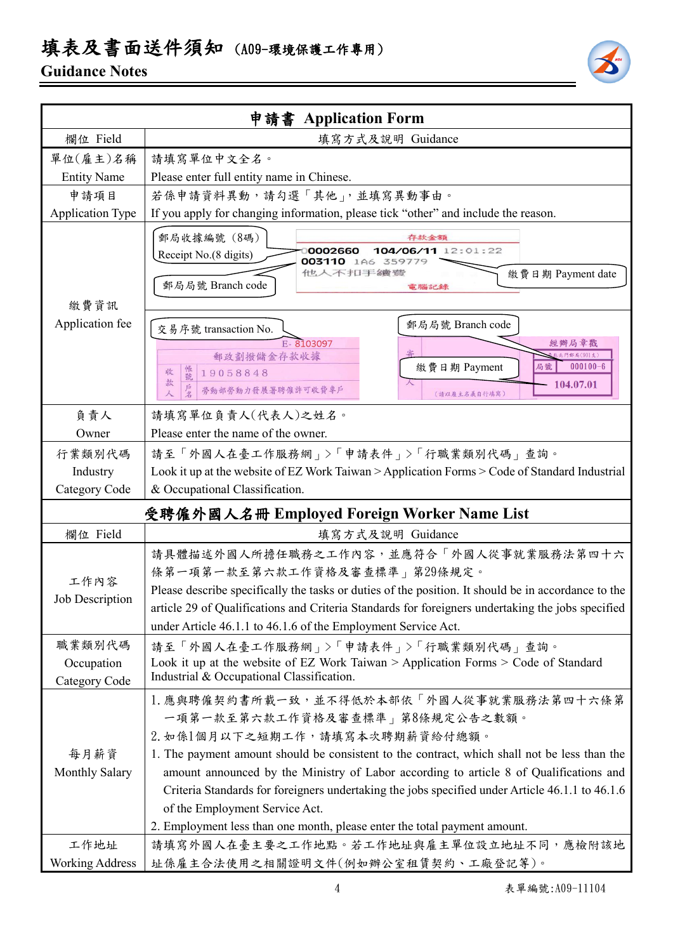# 填表及書面送件須知 (A09-環境保護工作專用)

### **Guidance Notes**



|                             | 申請書 Application Form                                                                                                                                                                                                                                                                                                                                                                                                                                                                                                       |  |  |
|-----------------------------|----------------------------------------------------------------------------------------------------------------------------------------------------------------------------------------------------------------------------------------------------------------------------------------------------------------------------------------------------------------------------------------------------------------------------------------------------------------------------------------------------------------------------|--|--|
| 欄位 Field                    | 填寫方式及說明 Guidance                                                                                                                                                                                                                                                                                                                                                                                                                                                                                                           |  |  |
| 單位(雇主)名稱                    | 請填寫單位中文全名。                                                                                                                                                                                                                                                                                                                                                                                                                                                                                                                 |  |  |
| <b>Entity Name</b>          | Please enter full entity name in Chinese.                                                                                                                                                                                                                                                                                                                                                                                                                                                                                  |  |  |
| 申請項目                        | 若係申請資料異動,請勾選「其他」,並填寫異動事由。                                                                                                                                                                                                                                                                                                                                                                                                                                                                                                  |  |  |
| <b>Application Type</b>     | If you apply for changing information, please tick "other" and include the reason.                                                                                                                                                                                                                                                                                                                                                                                                                                         |  |  |
| 繳費資訊                        | 郵局收據編號 (8碼)<br>存款金額<br>0002660<br>104/06/11 12:01:22<br>Receipt No.(8 digits)<br>003110 1A6 359779<br>他人不扣手續發<br>繳費日期 Payment date<br>郵局局號 Branch code<br>電腦記錄                                                                                                                                                                                                                                                                                                                                                             |  |  |
| Application fee             | 郵局局號 Branch code<br>交易序號 transaction No.<br>E-8103097<br>經辦局章戳<br>郵政劃撥儲金存款收據<br>門郵局(901支)<br>$000100 - 6$<br>繳費日期 Payment<br>局號<br>帳號<br>收<br>19058848<br>款<br>104.07.01<br>勞動部勞動力發展署聘僱許可收費專戶<br>(請以雇主名義自行填寫)                                                                                                                                                                                                                                                                                                              |  |  |
| 負責人                         | 請填寫單位負責人(代表人)之姓名。                                                                                                                                                                                                                                                                                                                                                                                                                                                                                                          |  |  |
| Owner                       | Please enter the name of the owner.                                                                                                                                                                                                                                                                                                                                                                                                                                                                                        |  |  |
| 行業類別代碼                      | 請至「外國人在臺工作服務網」>「申請表件」>「行職業類別代碼」查詢。                                                                                                                                                                                                                                                                                                                                                                                                                                                                                         |  |  |
| Industry                    | Look it up at the website of EZ Work Taiwan > Application Forms > Code of Standard Industrial                                                                                                                                                                                                                                                                                                                                                                                                                              |  |  |
| Category Code               | & Occupational Classification.                                                                                                                                                                                                                                                                                                                                                                                                                                                                                             |  |  |
|                             | 受聘僱外國人名冊 Employed Foreign Worker Name List                                                                                                                                                                                                                                                                                                                                                                                                                                                                                 |  |  |
| 欄位 Field                    | 填寫方式及說明 Guidance                                                                                                                                                                                                                                                                                                                                                                                                                                                                                                           |  |  |
| 工作內容<br>Job Description     | 請具體描述外國人所擔任職務之工作內容,並應符合「外國人從事就業服務法第四十六<br>條第一項第一款至第六款工作資格及審查標準」第29條規定。<br>Please describe specifically the tasks or duties of the position. It should be in accordance to the<br>article 29 of Qualifications and Criteria Standards for foreigners undertaking the jobs specified<br>under Article 46.1.1 to 46.1.6 of the Employment Service Act.                                                                                                                                                                        |  |  |
| 職業類別代碼                      | 請至「外國人在臺工作服務網」>「申請表件」>「行職業類別代碼」查詢。                                                                                                                                                                                                                                                                                                                                                                                                                                                                                         |  |  |
| Occupation<br>Category Code | Look it up at the website of EZ Work Taiwan > Application Forms > Code of Standard<br>Industrial & Occupational Classification.                                                                                                                                                                                                                                                                                                                                                                                            |  |  |
| 每月薪資<br>Monthly Salary      | 1. 應與聘僱契約書所載一致,並不得低於本部依「外國人從事就業服務法第四十六條第<br>一項第一款至第六款工作資格及審查標準   第8條規定公告之數額。<br>2. 如係1個月以下之短期工作,請填寫本次聘期薪資給付總額。<br>1. The payment amount should be consistent to the contract, which shall not be less than the<br>amount announced by the Ministry of Labor according to article 8 of Qualifications and<br>Criteria Standards for foreigners undertaking the jobs specified under Article 46.1.1 to 46.1.6<br>of the Employment Service Act.<br>2. Employment less than one month, please enter the total payment amount. |  |  |
| 工作地址                        | 請填寫外國人在臺主要之工作地點。若工作地址與雇主單位設立地址不同,應檢附該地                                                                                                                                                                                                                                                                                                                                                                                                                                                                                     |  |  |
| <b>Working Address</b>      | 址係雇主合法使用之相關證明文件(例如辦公室租賃契約、工廠登記等)。                                                                                                                                                                                                                                                                                                                                                                                                                                                                                          |  |  |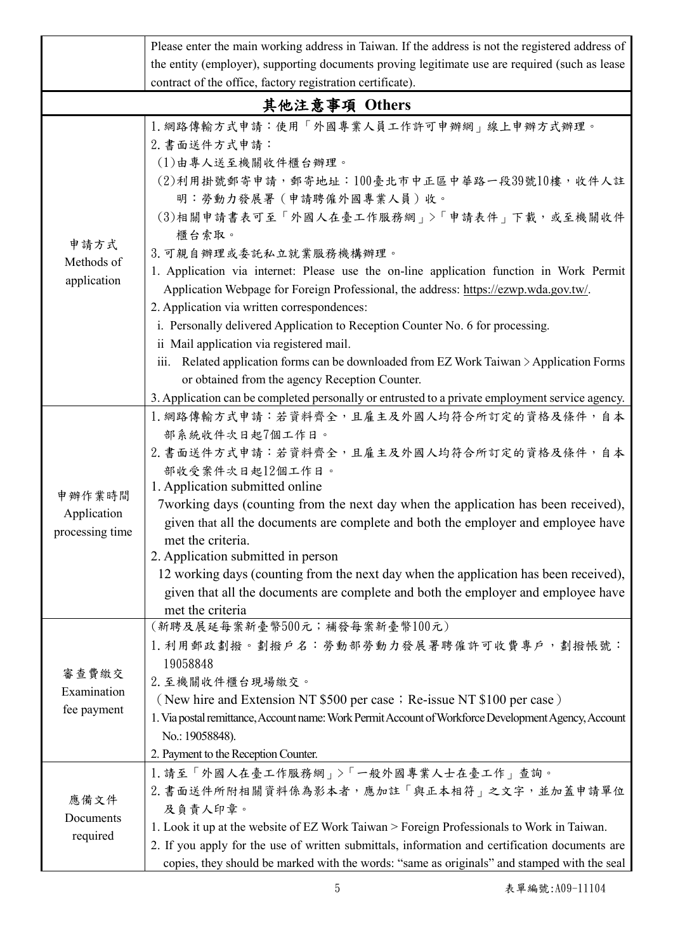|                                          | Please enter the main working address in Taiwan. If the address is not the registered address of                                                                                                                                                                                                                                                                                                                                                                                                                                                                                                    |  |  |  |
|------------------------------------------|-----------------------------------------------------------------------------------------------------------------------------------------------------------------------------------------------------------------------------------------------------------------------------------------------------------------------------------------------------------------------------------------------------------------------------------------------------------------------------------------------------------------------------------------------------------------------------------------------------|--|--|--|
|                                          | the entity (employer), supporting documents proving legitimate use are required (such as lease                                                                                                                                                                                                                                                                                                                                                                                                                                                                                                      |  |  |  |
|                                          | contract of the office, factory registration certificate).                                                                                                                                                                                                                                                                                                                                                                                                                                                                                                                                          |  |  |  |
|                                          | 其他注意事項 Others                                                                                                                                                                                                                                                                                                                                                                                                                                                                                                                                                                                       |  |  |  |
| 申請方式<br>Methods of<br>application        | 1. 網路傳輸方式申請:使用「外國專業人員工作許可申辦網」線上申辦方式辦理。<br>2. 書面送件方式申請:<br>(1)由專人送至機關收件櫃台辦理。<br>(2)利用掛號郵寄申請,郵寄地址:100臺北市中正區中華路一段39號10樓,收件人註<br>明:勞動力發展署(申請聘僱外國專業人員)收。<br>(3)相關申請書表可至「外國人在臺工作服務網」>「申請表件」下載,或至機關收件<br>櫃台索取。<br>3. 可親自辦理或委託私立就業服務機構辦理。<br>1. Application via internet: Please use the on-line application function in Work Permit<br>Application Webpage for Foreign Professional, the address: https://ezwp.wda.gov.tw/.<br>2. Application via written correspondences:<br>i. Personally delivered Application to Reception Counter No. 6 for processing.                                               |  |  |  |
|                                          | ii Mail application via registered mail.<br>iii. Related application forms can be downloaded from EZ Work Taiwan > Application Forms<br>or obtained from the agency Reception Counter.<br>3. Application can be completed personally or entrusted to a private employment service agency.                                                                                                                                                                                                                                                                                                           |  |  |  |
| 申辦作業時間<br>Application<br>processing time | 1. 網路傳輸方式申請:若資料齊全,且雇主及外國人均符合所訂定的資格及條件,自本<br>部系統收件次日起7個工作日。<br>2. 書面送件方式申請:若資料齊全,且雇主及外國人均符合所訂定的資格及條件,自本<br>部收受案件次日起12個工作日。<br>1. Application submitted online<br>7working days (counting from the next day when the application has been received),<br>given that all the documents are complete and both the employer and employee have<br>met the criteria.<br>2. Application submitted in person<br>12 working days (counting from the next day when the application has been received),<br>given that all the documents are complete and both the employer and employee have<br>met the criteria |  |  |  |
| 審查費繳交<br>Examination<br>fee payment      | (新聘及展延每案新臺幣500元;補發每案新臺幣100元)<br>1. 利用郵政劃撥。劃撥戶名:勞動部勞動力發展署聘僱許可收費專戶,劃撥帳號:<br>19058848<br>2. 至機關收件櫃台現場繳交。<br>(New hire and Extension NT \$500 per case; Re-issue NT \$100 per case)<br>1. Via postal remittance, Account name: Work Permit Account of Workforce Development Agency, Account<br>No.: 19058848).<br>2. Payment to the Reception Counter.                                                                                                                                                                                                                                                  |  |  |  |
| 應備文件<br>Documents<br>required            | 1. 請至「外國人在臺工作服務網」>「一般外國專業人士在臺工作」查詢。<br>2. 書面送件所附相關資料係為影本者,應加註「與正本相符」之文字,並加蓋申請單位<br>及負責人印章。<br>1. Look it up at the website of EZ Work Taiwan > Foreign Professionals to Work in Taiwan.<br>2. If you apply for the use of written submittals, information and certification documents are<br>copies, they should be marked with the words: "same as originals" and stamped with the seal                                                                                                                                                                                                            |  |  |  |